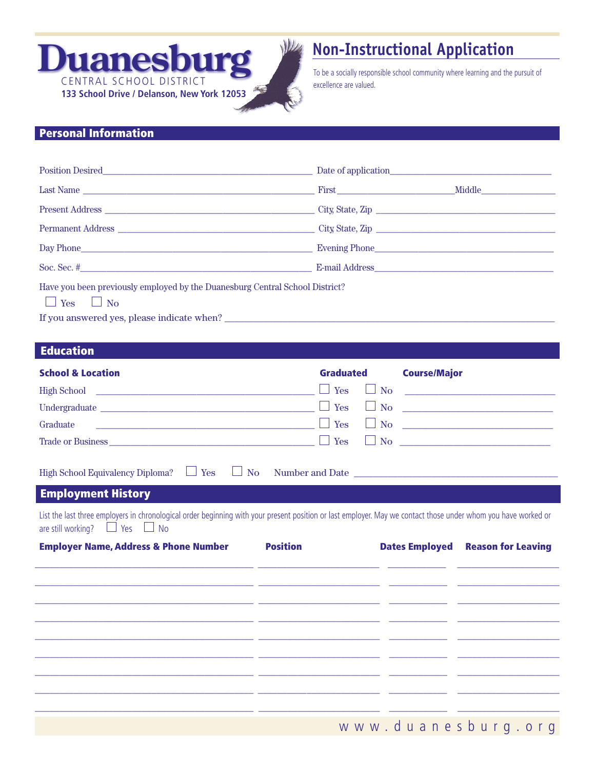

## **Non-Instructional Application**

To be a socially responsible school community where learning and the pursuit of excellence are valued.

## Personal Information

| Position Desired                                                                                 |                  |  |
|--------------------------------------------------------------------------------------------------|------------------|--|
| Last Name                                                                                        |                  |  |
|                                                                                                  | City, State, Zip |  |
|                                                                                                  |                  |  |
|                                                                                                  |                  |  |
|                                                                                                  |                  |  |
| Have you been previously employed by the Duanesburg Central School District?<br>Yes<br><b>No</b> |                  |  |

If you answered yes, please indicate when? \_\_\_\_\_\_\_\_\_\_\_\_\_\_\_\_\_\_\_\_\_\_\_\_\_\_\_\_\_\_\_\_\_\_\_\_\_\_\_\_\_\_\_\_\_\_\_\_\_\_\_\_\_\_\_\_\_\_\_\_\_\_\_\_\_\_\_\_

## Education

| <b>School &amp; Location</b>                                                                                                                                                                              | Graduated            |                | <b>Course/Major</b>              |
|-----------------------------------------------------------------------------------------------------------------------------------------------------------------------------------------------------------|----------------------|----------------|----------------------------------|
|                                                                                                                                                                                                           | $\Box$ Yes           |                | $\Box$ No $\Box$                 |
|                                                                                                                                                                                                           | $\Box$ Yes           | $\pm$          | No <b>No</b>                     |
|                                                                                                                                                                                                           | Yes<br>$\mathcal{L}$ | $\mathbb{R}^n$ | $N$ o                            |
| Trade or Business $\Box$ Yes                                                                                                                                                                              |                      |                | $\Box$ No $\Box$                 |
| High School Equivalency Diploma? $\Box$ Yes                                                                                                                                                               |                      |                | $\Box$ No Number and Date $\Box$ |
| <b>Employment History</b>                                                                                                                                                                                 |                      |                |                                  |
| List the last three employers in chronological order beginning with your present position or last employer. May we contact those under whom you have worked or<br>are still working? $\Box$ Yes $\Box$ No |                      |                |                                  |

| <b>Employer Name, Address &amp; Phone Number</b>                                                                      | <b>Position</b> | <b>Dates Employed Reason for Leaving</b> |
|-----------------------------------------------------------------------------------------------------------------------|-----------------|------------------------------------------|
| <u> 1980 - Jan Sarah Serang Berlin dan Berlin dan Berlin dan Berlin dan Berlin dan Berlin dan Berlin dan Berlin d</u> |                 |                                          |
|                                                                                                                       |                 |                                          |
|                                                                                                                       |                 |                                          |
|                                                                                                                       |                 |                                          |
|                                                                                                                       |                 |                                          |
|                                                                                                                       |                 |                                          |
|                                                                                                                       |                 |                                          |
|                                                                                                                       |                 |                                          |
|                                                                                                                       |                 | www.duanesburg.org                       |